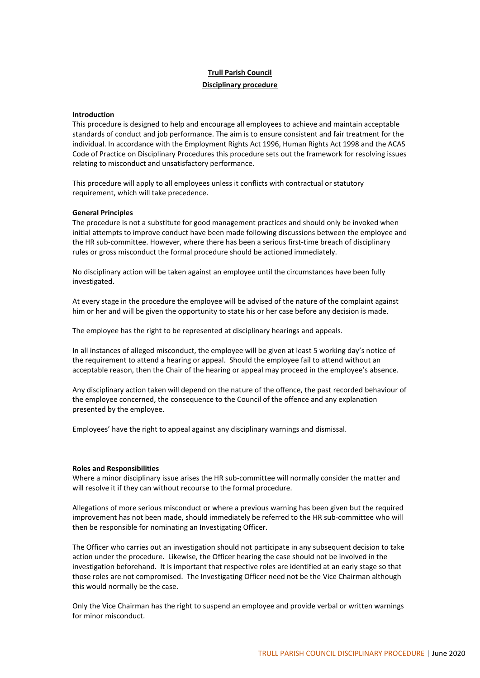# **Trull Parish Council Disciplinary procedure**

# **Introduction**

This procedure is designed to help and encourage all employees to achieve and maintain acceptable standards of conduct and job performance. The aim is to ensure consistent and fair treatment for the individual. In accordance with the Employment Rights Act 1996, Human Rights Act 1998 and the ACAS Code of Practice on Disciplinary Procedures this procedure sets out the framework for resolving issues relating to misconduct and unsatisfactory performance.

This procedure will apply to all employees unless it conflicts with contractual or statutory requirement, which will take precedence.

# **General Principles**

The procedure is not a substitute for good management practices and should only be invoked when initial attempts to improve conduct have been made following discussions between the employee and the HR sub-committee. However, where there has been a serious first-time breach of disciplinary rules or gross misconduct the formal procedure should be actioned immediately.

No disciplinary action will be taken against an employee until the circumstances have been fully investigated.

At every stage in the procedure the employee will be advised of the nature of the complaint against him or her and will be given the opportunity to state his or her case before any decision is made.

The employee has the right to be represented at disciplinary hearings and appeals.

In all instances of alleged misconduct, the employee will be given at least 5 working day's notice of the requirement to attend a hearing or appeal. Should the employee fail to attend without an acceptable reason, then the Chair of the hearing or appeal may proceed in the employee's absence.

Any disciplinary action taken will depend on the nature of the offence, the past recorded behaviour of the employee concerned, the consequence to the Council of the offence and any explanation presented by the employee.

Employees' have the right to appeal against any disciplinary warnings and dismissal.

# **Roles and Responsibilities**

Where a minor disciplinary issue arises the HR sub-committee will normally consider the matter and will resolve it if they can without recourse to the formal procedure.

Allegations of more serious misconduct or where a previous warning has been given but the required improvement has not been made, should immediately be referred to the HR sub-committee who will then be responsible for nominating an Investigating Officer.

The Officer who carries out an investigation should not participate in any subsequent decision to take action under the procedure. Likewise, the Officer hearing the case should not be involved in the investigation beforehand. It is important that respective roles are identified at an early stage so that those roles are not compromised. The Investigating Officer need not be the Vice Chairman although this would normally be the case.

Only the Vice Chairman has the right to suspend an employee and provide verbal or written warnings for minor misconduct.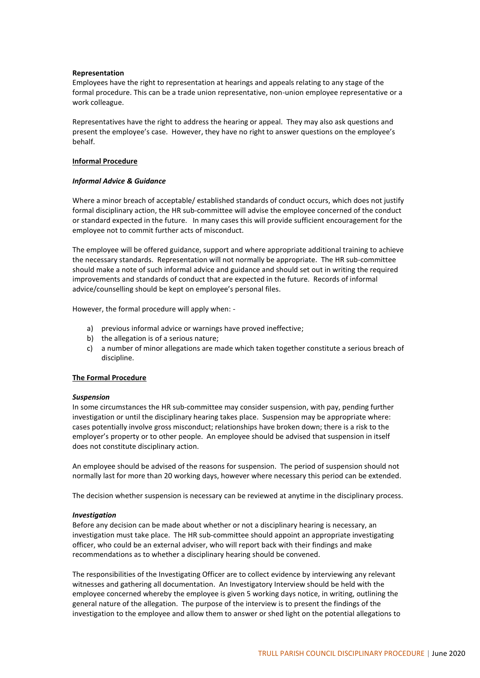# **Representation**

Employees have the right to representation at hearings and appeals relating to any stage of the formal procedure. This can be a trade union representative, non-union employee representative or a work colleague.

Representatives have the right to address the hearing or appeal. They may also ask questions and present the employee's case. However, they have no right to answer questions on the employee's behalf.

# **Informal Procedure**

# *Informal Advice & Guidance*

Where a minor breach of acceptable/ established standards of conduct occurs, which does not justify formal disciplinary action, the HR sub-committee will advise the employee concerned of the conduct or standard expected in the future. In many cases this will provide sufficient encouragement for the employee not to commit further acts of misconduct.

The employee will be offered guidance, support and where appropriate additional training to achieve the necessary standards. Representation will not normally be appropriate. The HR sub-committee should make a note of such informal advice and guidance and should set out in writing the required improvements and standards of conduct that are expected in the future. Records of informal advice/counselling should be kept on employee's personal files.

However, the formal procedure will apply when: -

- a) previous informal advice or warnings have proved ineffective;
- b) the allegation is of a serious nature;
- c) a number of minor allegations are made which taken together constitute a serious breach of discipline.

# **The Formal Procedure**

#### *Suspension*

In some circumstances the HR sub-committee may consider suspension, with pay, pending further investigation or until the disciplinary hearing takes place. Suspension may be appropriate where: cases potentially involve gross misconduct; relationships have broken down; there is a risk to the employer's property or to other people. An employee should be advised that suspension in itself does not constitute disciplinary action.

An employee should be advised of the reasons for suspension. The period of suspension should not normally last for more than 20 working days, however where necessary this period can be extended.

The decision whether suspension is necessary can be reviewed at anytime in the disciplinary process.

#### *Investigation*

Before any decision can be made about whether or not a disciplinary hearing is necessary, an investigation must take place. The HR sub-committee should appoint an appropriate investigating officer, who could be an external adviser, who will report back with their findings and make recommendations as to whether a disciplinary hearing should be convened.

The responsibilities of the Investigating Officer are to collect evidence by interviewing any relevant witnesses and gathering all documentation. An Investigatory Interview should be held with the employee concerned whereby the employee is given 5 working days notice, in writing, outlining the general nature of the allegation. The purpose of the interview is to present the findings of the investigation to the employee and allow them to answer or shed light on the potential allegations to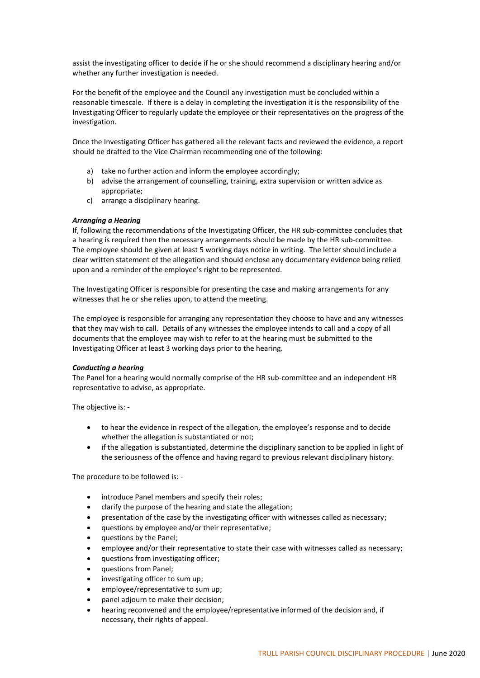assist the investigating officer to decide if he or she should recommend a disciplinary hearing and/or whether any further investigation is needed.

For the benefit of the employee and the Council any investigation must be concluded within a reasonable timescale. If there is a delay in completing the investigation it is the responsibility of the Investigating Officer to regularly update the employee or their representatives on the progress of the investigation.

Once the Investigating Officer has gathered all the relevant facts and reviewed the evidence, a report should be drafted to the Vice Chairman recommending one of the following:

- a) take no further action and inform the employee accordingly;
- b) advise the arrangement of counselling, training, extra supervision or written advice as appropriate;
- c) arrange a disciplinary hearing.

# *Arranging a Hearing*

If, following the recommendations of the Investigating Officer, the HR sub-committee concludes that a hearing is required then the necessary arrangements should be made by the HR sub-committee. The employee should be given at least 5 working days notice in writing. The letter should include a clear written statement of the allegation and should enclose any documentary evidence being relied upon and a reminder of the employee's right to be represented.

The Investigating Officer is responsible for presenting the case and making arrangements for any witnesses that he or she relies upon, to attend the meeting.

The employee is responsible for arranging any representation they choose to have and any witnesses that they may wish to call. Details of any witnesses the employee intends to call and a copy of all documents that the employee may wish to refer to at the hearing must be submitted to the Investigating Officer at least 3 working days prior to the hearing.

# *Conducting a hearing*

The Panel for a hearing would normally comprise of the HR sub-committee and an independent HR representative to advise, as appropriate.

The objective is: -

- to hear the evidence in respect of the allegation, the employee's response and to decide whether the allegation is substantiated or not;
- if the allegation is substantiated, determine the disciplinary sanction to be applied in light of the seriousness of the offence and having regard to previous relevant disciplinary history.

The procedure to be followed is: -

- introduce Panel members and specify their roles;
- clarify the purpose of the hearing and state the allegation;
- presentation of the case by the investigating officer with witnesses called as necessary;
- questions by employee and/or their representative;
- questions by the Panel:
- employee and/or their representative to state their case with witnesses called as necessary;
- questions from investigating officer;
- questions from Panel;
- investigating officer to sum up;
- employee/representative to sum up;
- panel adjourn to make their decision;
- hearing reconvened and the employee/representative informed of the decision and, if necessary, their rights of appeal.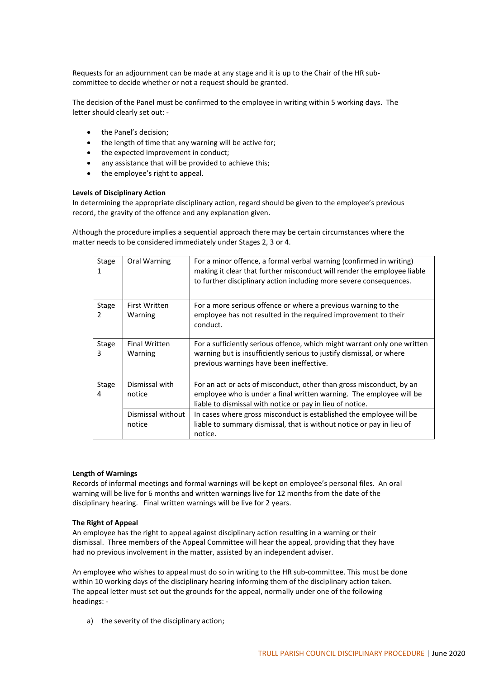Requests for an adjournment can be made at any stage and it is up to the Chair of the HR subcommittee to decide whether or not a request should be granted.

The decision of the Panel must be confirmed to the employee in writing within 5 working days. The letter should clearly set out: -

- the Panel's decision;
- the length of time that any warning will be active for;
- the expected improvement in conduct;
- any assistance that will be provided to achieve this;
- the employee's right to appeal.

# **Levels of Disciplinary Action**

In determining the appropriate disciplinary action, regard should be given to the employee's previous record, the gravity of the offence and any explanation given.

Although the procedure implies a sequential approach there may be certain circumstances where the matter needs to be considered immediately under Stages 2, 3 or 4.

| Stage      | Oral Warning                    | For a minor offence, a formal verbal warning (confirmed in writing)<br>making it clear that further misconduct will render the employee liable<br>to further disciplinary action including more severe consequences. |
|------------|---------------------------------|----------------------------------------------------------------------------------------------------------------------------------------------------------------------------------------------------------------------|
| Stage<br>2 | <b>First Written</b><br>Warning | For a more serious offence or where a previous warning to the<br>employee has not resulted in the required improvement to their<br>conduct.                                                                          |
| Stage<br>3 | <b>Final Written</b><br>Warning | For a sufficiently serious offence, which might warrant only one written<br>warning but is insufficiently serious to justify dismissal, or where<br>previous warnings have been ineffective.                         |
| Stage<br>4 | Dismissal with<br>notice        | For an act or acts of misconduct, other than gross misconduct, by an<br>employee who is under a final written warning. The employee will be<br>liable to dismissal with notice or pay in lieu of notice.             |
|            | Dismissal without<br>notice     | In cases where gross misconduct is established the employee will be<br>liable to summary dismissal, that is without notice or pay in lieu of<br>notice.                                                              |

#### **Length of Warnings**

Records of informal meetings and formal warnings will be kept on employee's personal files. An oral warning will be live for 6 months and written warnings live for 12 months from the date of the disciplinary hearing. Final written warnings will be live for 2 years.

# **The Right of Appeal**

An employee has the right to appeal against disciplinary action resulting in a warning or their dismissal. Three members of the Appeal Committee will hear the appeal, providing that they have had no previous involvement in the matter, assisted by an independent adviser.

An employee who wishes to appeal must do so in writing to the HR sub-committee. This must be done within 10 working days of the disciplinary hearing informing them of the disciplinary action taken. The appeal letter must set out the grounds for the appeal, normally under one of the following headings: -

a) the severity of the disciplinary action;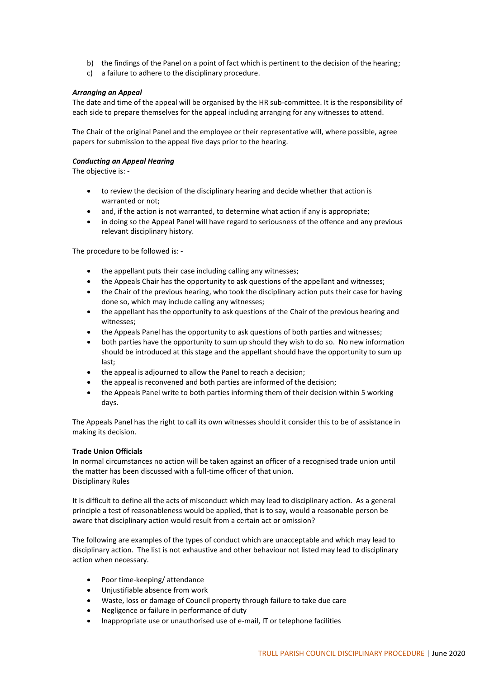- b) the findings of the Panel on a point of fact which is pertinent to the decision of the hearing;
- c) a failure to adhere to the disciplinary procedure.

# *Arranging an Appeal*

The date and time of the appeal will be organised by the HR sub-committee. It is the responsibility of each side to prepare themselves for the appeal including arranging for any witnesses to attend.

The Chair of the original Panel and the employee or their representative will, where possible, agree papers for submission to the appeal five days prior to the hearing.

# *Conducting an Appeal Hearing*

The objective is: -

- to review the decision of the disciplinary hearing and decide whether that action is warranted or not;
- and, if the action is not warranted, to determine what action if any is appropriate;
- in doing so the Appeal Panel will have regard to seriousness of the offence and any previous relevant disciplinary history.

The procedure to be followed is: -

- the appellant puts their case including calling any witnesses;
- the Appeals Chair has the opportunity to ask questions of the appellant and witnesses;
- the Chair of the previous hearing, who took the disciplinary action puts their case for having done so, which may include calling any witnesses;
- the appellant has the opportunity to ask questions of the Chair of the previous hearing and witnesses;
- the Appeals Panel has the opportunity to ask questions of both parties and witnesses;
- both parties have the opportunity to sum up should they wish to do so. No new information should be introduced at this stage and the appellant should have the opportunity to sum up last;
- the appeal is adjourned to allow the Panel to reach a decision;
- the appeal is reconvened and both parties are informed of the decision;
- the Appeals Panel write to both parties informing them of their decision within 5 working days.

The Appeals Panel has the right to call its own witnesses should it consider this to be of assistance in making its decision.

# **Trade Union Officials**

In normal circumstances no action will be taken against an officer of a recognised trade union until the matter has been discussed with a full-time officer of that union. Disciplinary Rules

It is difficult to define all the acts of misconduct which may lead to disciplinary action. As a general principle a test of reasonableness would be applied, that is to say, would a reasonable person be aware that disciplinary action would result from a certain act or omission?

The following are examples of the types of conduct which are unacceptable and which may lead to disciplinary action. The list is not exhaustive and other behaviour not listed may lead to disciplinary action when necessary.

- Poor time-keeping/ attendance
- Unjustifiable absence from work
- Waste, loss or damage of Council property through failure to take due care
- Negligence or failure in performance of duty
- Inappropriate use or unauthorised use of e-mail, IT or telephone facilities